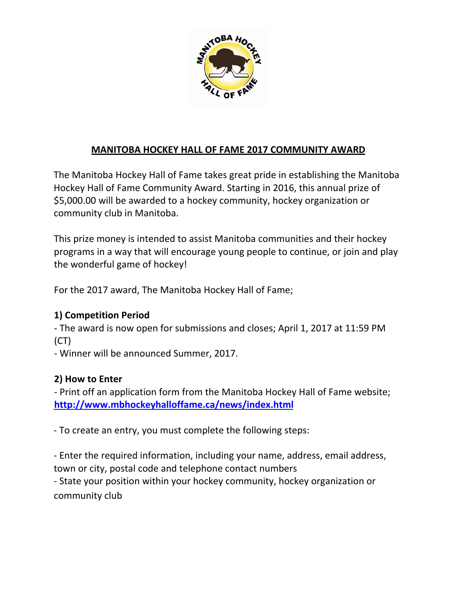

# **MANITOBA HOCKEY HALL OF FAME 2017 COMMUNITY AWARD**

The Manitoba Hockey Hall of Fame takes great pride in establishing the Manitoba Hockey Hall of Fame Community Award. Starting in 2016, this annual prize of \$5,000.00 will be awarded to a hockey community, hockey organization or community club in Manitoba.

This prize money is intended to assist Manitoba communities and their hockey programs in a way that will encourage young people to continue, or join and play the wonderful game of hockey!

For the 2017 award, The Manitoba Hockey Hall of Fame;

## **1) Competition Period**

‐ The award is now open for submissions and closes; April 1, 2017 at 11:59 PM (CT)

‐ Winner will be announced Summer, 2017.

## **2) How to Enter**

‐ Print off an application form from the Manitoba Hockey Hall of Fame website; **http://www.mbhockeyhalloffame.ca/news/index.html**

‐ To create an entry, you must complete the following steps:

‐ Enter the required information, including your name, address, email address, town or city, postal code and telephone contact numbers

‐ State your position within your hockey community, hockey organization or community club